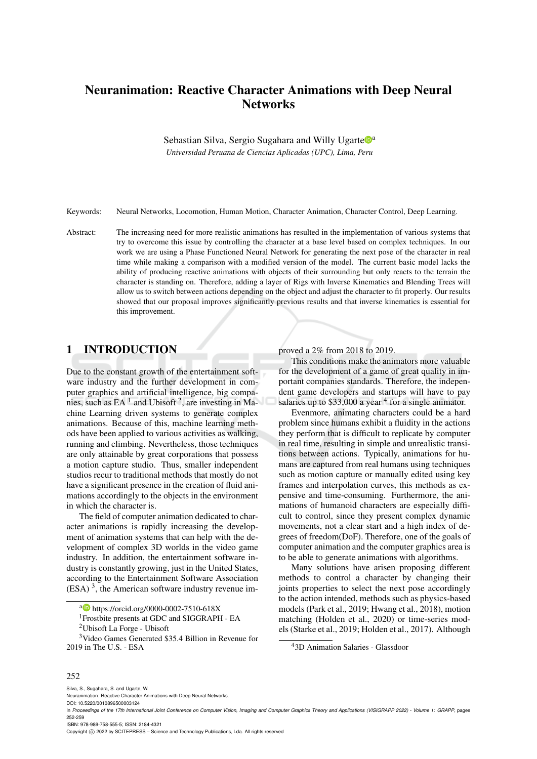# Neuranimation: Reactive Character Animations with Deep Neural **Networks**

Sebastian Silva, Sergio Sugahara and Willy Ugarte  $\mathbb{D}^a$ *Universidad Peruana de Ciencias Aplicadas (UPC), Lima, Peru*

Keywords: Neural Networks, Locomotion, Human Motion, Character Animation, Character Control, Deep Learning.

Abstract: The increasing need for more realistic animations has resulted in the implementation of various systems that try to overcome this issue by controlling the character at a base level based on complex techniques. In our work we are using a Phase Functioned Neural Network for generating the next pose of the character in real time while making a comparison with a modified version of the model. The current basic model lacks the ability of producing reactive animations with objects of their surrounding but only reacts to the terrain the character is standing on. Therefore, adding a layer of Rigs with Inverse Kinematics and Blending Trees will allow us to switch between actions depending on the object and adjust the character to fit properly. Our results showed that our proposal improves significantly previous results and that inverse kinematics is essential for this improvement.

## 1 INTRODUCTION

Due to the constant growth of the entertainment software industry and the further development in computer graphics and artificial intelligence, big companies, such as  $EA<sup>1</sup>$  and Ubisoft<sup>2</sup>, are investing in Machine Learning driven systems to generate complex animations. Because of this, machine learning methods have been applied to various activities as walking, running and climbing. Nevertheless, those techniques are only attainable by great corporations that possess a motion capture studio. Thus, smaller independent studios recur to traditional methods that mostly do not have a significant presence in the creation of fluid animations accordingly to the objects in the environment in which the character is.

The field of computer animation dedicated to character animations is rapidly increasing the development of animation systems that can help with the development of complex 3D worlds in the video game industry. In addition, the entertainment software industry is constantly growing, just in the United States, according to the Entertainment Software Association  $(ESA)^3$ , the American software industry revenue improved a 2% from 2018 to 2019.

This conditions make the animators more valuable for the development of a game of great quality in important companies standards. Therefore, the independent game developers and startups will have to pay salaries up to  $$33,000$  a year  $<sup>4</sup>$  for a single animator.</sup>

Evenmore, animating characters could be a hard problem since humans exhibit a fluidity in the actions they perform that is difficult to replicate by computer in real time, resulting in simple and unrealistic transitions between actions. Typically, animations for humans are captured from real humans using techniques such as motion capture or manually edited using key frames and interpolation curves, this methods as expensive and time-consuming. Furthermore, the animations of humanoid characters are especially difficult to control, since they present complex dynamic movements, not a clear start and a high index of degrees of freedom(DoF). Therefore, one of the goals of computer animation and the computer graphics area is to be able to generate animations with algorithms.

Many solutions have arisen proposing different methods to control a character by changing their joints properties to select the next pose accordingly to the action intended, methods such as physics-based models (Park et al., 2019; Hwang et al., 2018), motion matching (Holden et al., 2020) or time-series models (Starke et al., 2019; Holden et al., 2017). Although

### 252

a **b** https://orcid.org/0000-0002-7510-618X

<sup>1</sup>Frostbite presents at GDC and SIGGRAPH - EA

<sup>2</sup>Ubisoft La Forge - Ubisoft

<sup>3</sup>Video Games Generated \$35.4 Billion in Revenue for 2019 in The U.S. - ESA

<sup>4</sup>3D Animation Salaries - Glassdoor

Silva, S., Sugahara, S. and Ugarte, W.

Neuranimation: Reactive Character Animations with Deep Neural Networks.

DOI: 10.5220/0010896500003124

In *Proceedings of the 17th International Joint Conference on Computer Vision, Imaging and Computer Graphics Theory and Applications (VISIGRAPP 2022) - Volume 1: GRAPP*, pages 252-259

ISBN: 978-989-758-555-5; ISSN: 2184-4321

Copyright © 2022 by SCITEPRESS - Science and Technology Publications, Lda. All rights reserved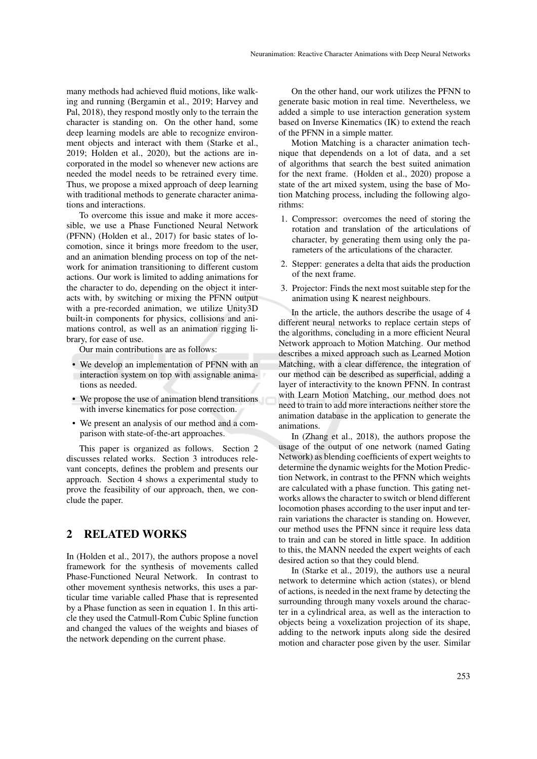many methods had achieved fluid motions, like walking and running (Bergamin et al., 2019; Harvey and Pal, 2018), they respond mostly only to the terrain the character is standing on. On the other hand, some deep learning models are able to recognize environment objects and interact with them (Starke et al., 2019; Holden et al., 2020), but the actions are incorporated in the model so whenever new actions are needed the model needs to be retrained every time. Thus, we propose a mixed approach of deep learning with traditional methods to generate character animations and interactions.

To overcome this issue and make it more accessible, we use a Phase Functioned Neural Network (PFNN) (Holden et al., 2017) for basic states of locomotion, since it brings more freedom to the user, and an animation blending process on top of the network for animation transitioning to different custom actions. Our work is limited to adding animations for the character to do, depending on the object it interacts with, by switching or mixing the PFNN output with a pre-recorded animation, we utilize Unity3D built-in components for physics, collisions and animations control, as well as an animation rigging library, for ease of use.

Our main contributions are as follows:

- We develop an implementation of PFNN with an interaction system on top with assignable animations as needed.
- We propose the use of animation blend transitions with inverse kinematics for pose correction.
- We present an analysis of our method and a comparison with state-of-the-art approaches.

This paper is organized as follows. Section 2 discusses related works. Section 3 introduces relevant concepts, defines the problem and presents our approach. Section 4 shows a experimental study to prove the feasibility of our approach, then, we conclude the paper.

### 2 RELATED WORKS

In (Holden et al., 2017), the authors propose a novel framework for the synthesis of movements called Phase-Functioned Neural Network. In contrast to other movement synthesis networks, this uses a particular time variable called Phase that is represented by a Phase function as seen in equation 1. In this article they used the Catmull-Rom Cubic Spline function and changed the values of the weights and biases of the network depending on the current phase.

On the other hand, our work utilizes the PFNN to generate basic motion in real time. Nevertheless, we added a simple to use interaction generation system based on Inverse Kinematics (IK) to extend the reach of the PFNN in a simple matter.

Motion Matching is a character animation technique that dependends on a lot of data, and a set of algorithms that search the best suited animation for the next frame. (Holden et al., 2020) propose a state of the art mixed system, using the base of Motion Matching process, including the following algorithms:

- 1. Compressor: overcomes the need of storing the rotation and translation of the articulations of character, by generating them using only the parameters of the articulations of the character.
- 2. Stepper: generates a delta that aids the production of the next frame.
- 3. Projector: Finds the next most suitable step for the animation using K nearest neighbours.

In the article, the authors describe the usage of 4 different neural networks to replace certain steps of the algorithms, concluding in a more efficient Neural Network approach to Motion Matching. Our method describes a mixed approach such as Learned Motion Matching, with a clear difference, the integration of our method can be described as superficial, adding a layer of interactivity to the known PFNN. In contrast with Learn Motion Matching, our method does not need to train to add more interactions neither store the animation database in the application to generate the animations.

In (Zhang et al., 2018), the authors propose the usage of the output of one network (named Gating Network) as blending coefficients of expert weights to determine the dynamic weights for the Motion Prediction Network, in contrast to the PFNN which weights are calculated with a phase function. This gating networks allows the character to switch or blend different locomotion phases according to the user input and terrain variations the character is standing on. However, our method uses the PFNN since it require less data to train and can be stored in little space. In addition to this, the MANN needed the expert weights of each desired action so that they could blend.

In (Starke et al., 2019), the authors use a neural network to determine which action (states), or blend of actions, is needed in the next frame by detecting the surrounding through many voxels around the character in a cylindrical area, as well as the interaction to objects being a voxelization projection of its shape, adding to the network inputs along side the desired motion and character pose given by the user. Similar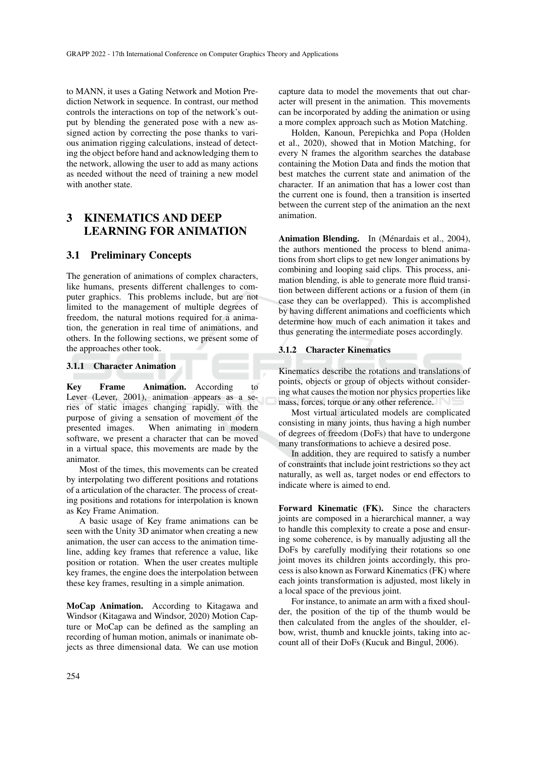to MANN, it uses a Gating Network and Motion Prediction Network in sequence. In contrast, our method controls the interactions on top of the network's output by blending the generated pose with a new assigned action by correcting the pose thanks to various animation rigging calculations, instead of detecting the object before hand and acknowledging them to the network, allowing the user to add as many actions as needed without the need of training a new model with another state.

# 3 KINEMATICS AND DEEP LEARNING FOR ANIMATION

### 3.1 Preliminary Concepts

The generation of animations of complex characters, like humans, presents different challenges to computer graphics. This problems include, but are not limited to the management of multiple degrees of freedom, the natural motions required for a animation, the generation in real time of animations, and others. In the following sections, we present some of the approaches other took.

#### 3.1.1 Character Animation

Key Frame Animation. According to Lever (Lever, 2001), animation appears as a series of static images changing rapidly, with the purpose of giving a sensation of movement of the presented images. When animating in modern software, we present a character that can be moved in a virtual space, this movements are made by the animator.

Most of the times, this movements can be created by interpolating two different positions and rotations of a articulation of the character. The process of creating positions and rotations for interpolation is known as Key Frame Animation.

A basic usage of Key frame animations can be seen with the Unity 3D animator when creating a new animation, the user can access to the animation timeline, adding key frames that reference a value, like position or rotation. When the user creates multiple key frames, the engine does the interpolation between these key frames, resulting in a simple animation.

MoCap Animation. According to Kitagawa and Windsor (Kitagawa and Windsor, 2020) Motion Capture or MoCap can be defined as the sampling an recording of human motion, animals or inanimate objects as three dimensional data. We can use motion capture data to model the movements that out character will present in the animation. This movements can be incorporated by adding the animation or using a more complex approach such as Motion Matching.

Holden, Kanoun, Perepichka and Popa (Holden et al., 2020), showed that in Motion Matching, for every N frames the algorithm searches the database containing the Motion Data and finds the motion that best matches the current state and animation of the character. If an animation that has a lower cost than the current one is found, then a transition is inserted between the current step of the animation an the next animation.

Animation Blending. In (Ménardais et al., 2004), the authors mentioned the process to blend animations from short clips to get new longer animations by combining and looping said clips. This process, animation blending, is able to generate more fluid transition between different actions or a fusion of them (in case they can be overlapped). This is accomplished by having different animations and coefficients which determine how much of each animation it takes and thus generating the intermediate poses accordingly.

### 3.1.2 Character Kinematics

Kinematics describe the rotations and translations of points, objects or group of objects without considering what causes the motion nor physics properties like mass, forces, torque or any other reference.

Most virtual articulated models are complicated consisting in many joints, thus having a high number of degrees of freedom (DoFs) that have to undergone many transformations to achieve a desired pose.

In addition, they are required to satisfy a number of constraints that include joint restrictions so they act naturally, as well as, target nodes or end effectors to indicate where is aimed to end.

Forward Kinematic (FK). Since the characters joints are composed in a hierarchical manner, a way to handle this complexity to create a pose and ensuring some coherence, is by manually adjusting all the DoFs by carefully modifying their rotations so one joint moves its children joints accordingly, this process is also known as Forward Kinematics (FK) where each joints transformation is adjusted, most likely in a local space of the previous joint.

For instance, to animate an arm with a fixed shoulder, the position of the tip of the thumb would be then calculated from the angles of the shoulder, elbow, wrist, thumb and knuckle joints, taking into account all of their DoFs (Kucuk and Bingul, 2006).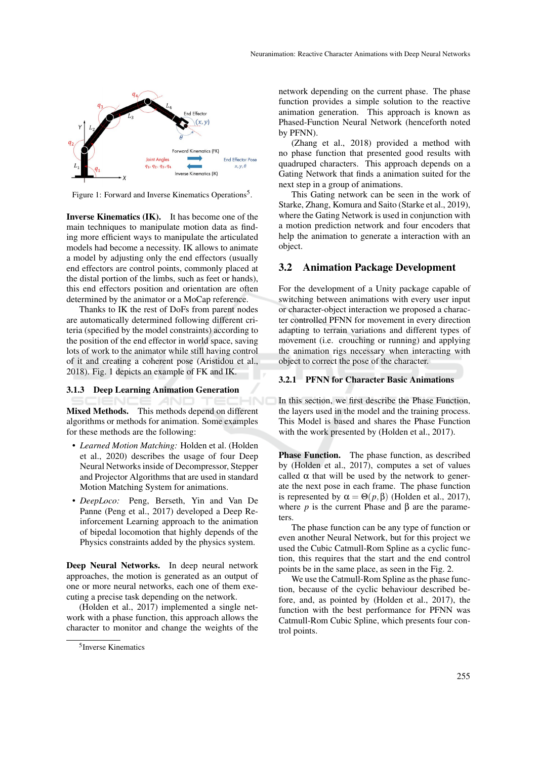

Figure 1: Forward and Inverse Kinematics Operations<sup>5</sup>.

Inverse Kinematics (IK). It has become one of the main techniques to manipulate motion data as finding more efficient ways to manipulate the articulated models had become a necessity. IK allows to animate a model by adjusting only the end effectors (usually end effectors are control points, commonly placed at the distal portion of the limbs, such as feet or hands), this end effectors position and orientation are often determined by the animator or a MoCap reference.

Thanks to IK the rest of DoFs from parent nodes are automatically determined following different criteria (specified by the model constraints) according to the position of the end effector in world space, saving lots of work to the animator while still having control of it and creating a coherent pose (Aristidou et al., 2018). Fig. 1 depicts an example of FK and IK.

#### 3.1.3 Deep Learning Animation Generation

**ANI** Mixed Methods. This methods depend on different algorithms or methods for animation. Some examples for these methods are the following:

HNC

- *Learned Motion Matching:* Holden et al. (Holden et al., 2020) describes the usage of four Deep Neural Networks inside of Decompressor, Stepper and Projector Algorithms that are used in standard Motion Matching System for animations.
- *DeepLoco:* Peng, Berseth, Yin and Van De Panne (Peng et al., 2017) developed a Deep Reinforcement Learning approach to the animation of bipedal locomotion that highly depends of the Physics constraints added by the physics system.

Deep Neural Networks. In deep neural network approaches, the motion is generated as an output of one or more neural networks, each one of them executing a precise task depending on the network.

(Holden et al., 2017) implemented a single network with a phase function, this approach allows the character to monitor and change the weights of the

network depending on the current phase. The phase function provides a simple solution to the reactive animation generation. This approach is known as Phased-Function Neural Network (henceforth noted by PFNN).

(Zhang et al., 2018) provided a method with no phase function that presented good results with quadruped characters. This approach depends on a Gating Network that finds a animation suited for the next step in a group of animations.

This Gating network can be seen in the work of Starke, Zhang, Komura and Saito (Starke et al., 2019), where the Gating Network is used in conjunction with a motion prediction network and four encoders that help the animation to generate a interaction with an object.

### 3.2 Animation Package Development

For the development of a Unity package capable of switching between animations with every user input or character-object interaction we proposed a character controlled PFNN for movement in every direction adapting to terrain variations and different types of movement (i.e. crouching or running) and applying the animation rigs necessary when interacting with object to correct the pose of the character.

### 3.2.1 PFNN for Character Basic Animations

In this section, we first describe the Phase Function, the layers used in the model and the training process. This Model is based and shares the Phase Function with the work presented by (Holden et al., 2017).

Phase Function. The phase function, as described by (Holden et al., 2017), computes a set of values called  $\alpha$  that will be used by the network to generate the next pose in each frame. The phase function is represented by  $\alpha = \Theta(p, \beta)$  (Holden et al., 2017), where  $p$  is the current Phase and  $\beta$  are the parameters.

The phase function can be any type of function or even another Neural Network, but for this project we used the Cubic Catmull-Rom Spline as a cyclic function, this requires that the start and the end control points be in the same place, as seen in the Fig. 2.

We use the Catmull-Rom Spline as the phase function, because of the cyclic behaviour described before, and, as pointed by (Holden et al., 2017), the function with the best performance for PFNN was Catmull-Rom Cubic Spline, which presents four control points.

<sup>5</sup> Inverse Kinematics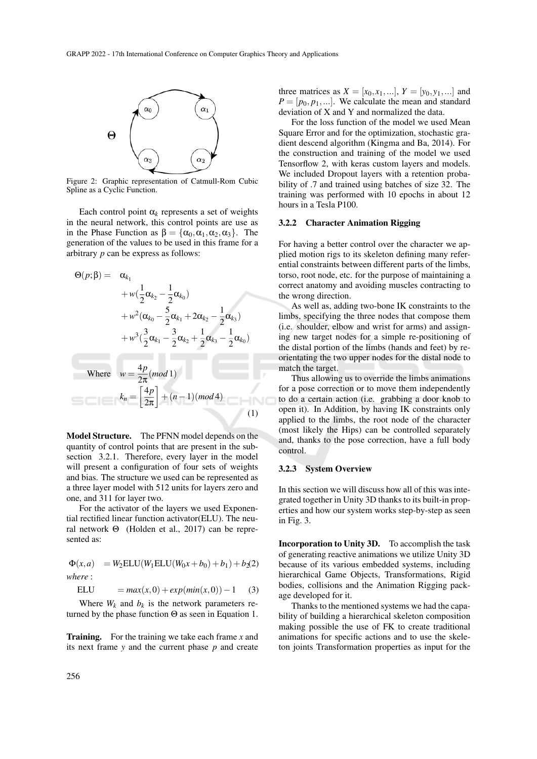

Figure 2: Graphic representation of Catmull-Rom Cubic Spline as a Cyclic Function.

Each control point  $\alpha_k$  represents a set of weights in the neural network, this control points are use as in the Phase Function as  $\beta = {\alpha_0, \alpha_1, \alpha_2, \alpha_3}$ . The generation of the values to be used in this frame for a arbitrary *p* can be express as follows:

$$
\Theta(p; \beta) = \alpha_{k_1} + w(\frac{1}{2}\alpha_{k_2} - \frac{1}{2}\alpha_{k_0}) + w^2(\alpha_{k_0} - \frac{5}{2}\alpha_{k_1} + 2\alpha_{k_2} - \frac{1}{2}\alpha_{k_3}) + w^3(\frac{3}{2}\alpha_{k_1} - \frac{3}{2}\alpha_{k_2} + \frac{1}{2}\alpha_{k_3} - \frac{1}{2}\alpha_{k_0})
$$
  
Where  $w = \frac{4p}{2\pi} (mod 1)$   
 $k_n = \left[\frac{4p}{2\pi}\right] + (n-1)(mod 4)$  (1)

Model Structure. The PFNN model depends on the quantity of control points that are present in the subsection 3.2.1. Therefore, every layer in the model will present a configuration of four sets of weights and bias. The structure we used can be represented as a three layer model with 512 units for layers zero and one, and 311 for layer two.

For the activator of the layers we used Exponential rectified linear function activator(ELU). The neural network Θ (Holden et al., 2017) can be represented as:

$$
\Phi(x, a) = W_2 \text{ELU}(W_1 \text{ELU}(W_0 x + b_0) + b_1) + b_2(2)
$$
  
where:

*where* :

$$
ELU = max(x, 0) + exp(min(x, 0)) - 1 \quad (3)
$$

Where  $W_k$  and  $b_k$  is the network parameters returned by the phase function  $\Theta$  as seen in Equation 1.

Training. For the training we take each frame *x* and its next frame *y* and the current phase *p* and create

three matrices as  $X = [x_0, x_1, ...], Y = [y_0, y_1, ...]$  and  $P = [p_0, p_1, \ldots]$ . We calculate the mean and standard deviation of X and Y and normalized the data.

For the loss function of the model we used Mean Square Error and for the optimization, stochastic gradient descend algorithm (Kingma and Ba, 2014). For the construction and training of the model we used Tensorflow 2, with keras custom layers and models. We included Dropout layers with a retention probability of .7 and trained using batches of size 32. The training was performed with 10 epochs in about 12 hours in a Tesla P100.

#### 3.2.2 Character Animation Rigging

For having a better control over the character we applied motion rigs to its skeleton defining many referential constraints between different parts of the limbs, torso, root node, etc. for the purpose of maintaining a correct anatomy and avoiding muscles contracting to the wrong direction.

As well as, adding two-bone IK constraints to the limbs, specifying the three nodes that compose them (i.e. shoulder, elbow and wrist for arms) and assigning new target nodes for a simple re-positioning of the distal portion of the limbs (hands and feet) by reorientating the two upper nodes for the distal node to match the target.

Thus allowing us to override the limbs animations for a pose correction or to move them independently to do a certain action (i.e. grabbing a door knob to open it). In Addition, by having IK constraints only applied to the limbs, the root node of the character (most likely the Hips) can be controlled separately and, thanks to the pose correction, have a full body control.

### 3.2.3 System Overview

In this section we will discuss how all of this was integrated together in Unity 3D thanks to its built-in properties and how our system works step-by-step as seen in Fig. 3.

Incorporation to Unity 3D. To accomplish the task of generating reactive animations we utilize Unity 3D because of its various embedded systems, including hierarchical Game Objects, Transformations, Rigid bodies, collisions and the Animation Rigging package developed for it.

Thanks to the mentioned systems we had the capability of building a hierarchical skeleton composition making possible the use of FK to create traditional animations for specific actions and to use the skeleton joints Transformation properties as input for the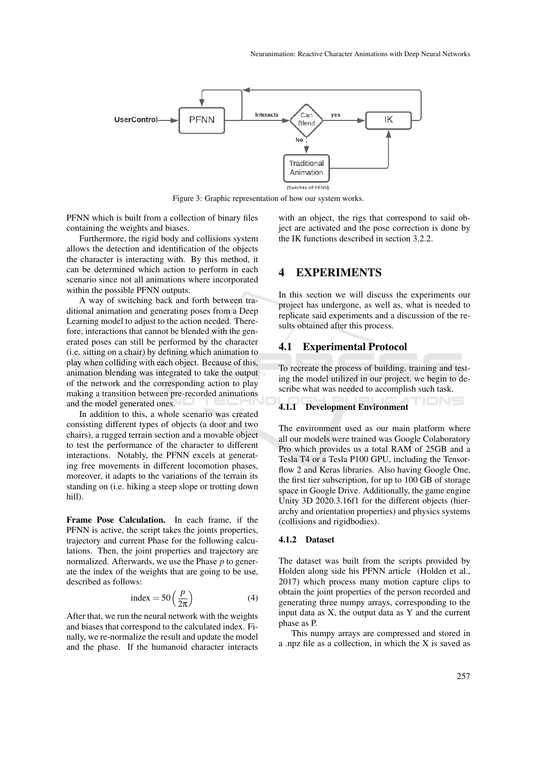

Figure 3: Graphic representation of how our system works.

PFNN which is built from a collection of binary files containing the weights and biases.

Furthermore, the rigid body and collisions system allows the detection and identification of the objects the character is interacting with. By this method, it can be determined which action to perform in each scenario since not all animations where incorporated within the possible PFNN outputs.

A way of switching back and forth between traditional animation and generating poses from a Deep Learning model to adjust to the action needed. Therefore, interactions that cannot be blended with the generated poses can still be performed by the character (i.e. sitting on a chair) by defining which animation to play when colliding with each object. Because of this, animation blending was integrated to take the output of the network and the corresponding action to play making a transition between pre-recorded animations and the model generated ones.

In addition to this, a whole scenario was created consisting different types of objects (a door and two chairs), a rugged terrain section and a movable object to test the performance of the character to different interactions. Notably, the PFNN excels at generating free movements in different locomotion phases, moreover, it adapts to the variations of the terrain its standing on (i.e. hiking a steep slope or trotting down hill).

Frame Pose Calculation. In each frame, if the PFNN is active, the script takes the joints properties, trajectory and current Phase for the following calculations. Then, the joint properties and trajectory are normalized. Afterwards, we use the Phase *p* to generate the index of the weights that are going to be use, described as follows:

$$
index = 50\left(\frac{p}{2\pi}\right)
$$
 (4)

After that, we run the neural network with the weights and biases that correspond to the calculated index. Finally, we re-normalize the result and update the model and the phase. If the humanoid character interacts with an object, the rigs that correspond to said object are activated and the pose correction is done by the IK functions described in section 3.2.2.

### 4 EXPERIMENTS

In this section we will discuss the experiments our project has undergone, as well as, what is needed to replicate said experiments and a discussion of the results obtained after this process.

### 4.1 Experimental Protocol

To recreate the process of building, training and testing the model utilized in our project, we begin to describe what was needed to accomplish such task.

### 4.1.1 Development Environment

The environment used as our main platform where all our models were trained was Google Colaboratory Pro which provides us a total RAM of 25GB and a Tesla T4 or a Tesla P100 GPU, including the Tensorflow 2 and Keras libraries. Also having Google One, the first tier subscription, for up to 100 GB of storage space in Google Drive. Additionally, the game engine Unity 3D 2020.3.16f1 for the different objects (hierarchy and orientation properties) and physics systems (collisions and rigidbodies).

### 4.1.2 Dataset

The dataset was built from the scripts provided by Holden along side his PFNN article (Holden et al., 2017) which process many motion capture clips to obtain the joint properties of the person recorded and generating three numpy arrays, corresponding to the input data as X, the output data as Y and the current phase as P.

This numpy arrays are compressed and stored in a .npz file as a collection, in which the X is saved as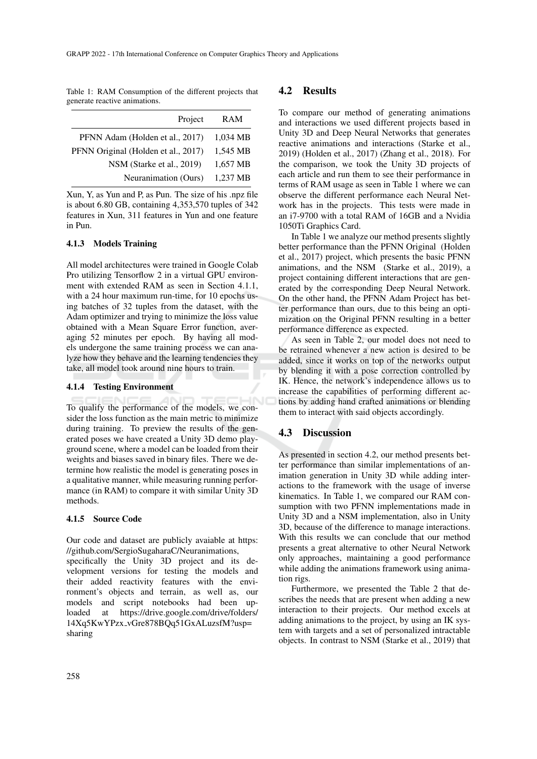Table 1: RAM Consumption of the different projects that generate reactive animations.

| Project                             | RAM      |
|-------------------------------------|----------|
| PFNN Adam (Holden et al., 2017)     | 1,034 MB |
| PFNN Original (Holden et al., 2017) | 1,545 MB |
| NSM (Starke et al., 2019)           | 1,657 MB |
| Neuranimation (Ours)                | 1,237 MB |

Xun, Y, as Yun and P, as Pun. The size of his .npz file is about 6.80 GB, containing 4,353,570 tuples of 342 features in Xun, 311 features in Yun and one feature in Pun.

### 4.1.3 Models Training

All model architectures were trained in Google Colab Pro utilizing Tensorflow 2 in a virtual GPU environment with extended RAM as seen in Section 4.1.1, with a 24 hour maximum run-time, for 10 epochs using batches of 32 tuples from the dataset, with the Adam optimizer and trying to minimize the loss value obtained with a Mean Square Error function, averaging 52 minutes per epoch. By having all models undergone the same training process we can analyze how they behave and the learning tendencies they take, all model took around nine hours to train.

### 4.1.4 Testing Environment

To qualify the performance of the models, we consider the loss function as the main metric to minimize during training. To preview the results of the generated poses we have created a Unity 3D demo playground scene, where a model can be loaded from their weights and biases saved in binary files. There we determine how realistic the model is generating poses in a qualitative manner, while measuring running performance (in RAM) to compare it with similar Unity 3D methods.

### 4.1.5 Source Code

Our code and dataset are publicly avaiable at https: //github.com/SergioSugaharaC/Neuranimations,

specifically the Unity 3D project and its development versions for testing the models and their added reactivity features with the environment's objects and terrain, as well as, our models and script notebooks had been uploaded at https://drive.google.com/drive/folders/ 14Xq5KwYPzx vGre878BQq51GxALuzsfM?usp= sharing

### 4.2 Results

To compare our method of generating animations and interactions we used different projects based in Unity 3D and Deep Neural Networks that generates reactive animations and interactions (Starke et al., 2019) (Holden et al., 2017) (Zhang et al., 2018). For the comparison, we took the Unity 3D projects of each article and run them to see their performance in terms of RAM usage as seen in Table 1 where we can observe the different performance each Neural Network has in the projects. This tests were made in an i7-9700 with a total RAM of 16GB and a Nvidia 1050Ti Graphics Card.

In Table 1 we analyze our method presents slightly better performance than the PFNN Original (Holden et al., 2017) project, which presents the basic PFNN animations, and the NSM (Starke et al., 2019), a project containing different interactions that are generated by the corresponding Deep Neural Network. On the other hand, the PFNN Adam Project has better performance than ours, due to this being an optimization on the Original PFNN resulting in a better performance difference as expected.

As seen in Table 2, our model does not need to be retrained whenever a new action is desired to be added, since it works on top of the networks output by blending it with a pose correction controlled by IK. Hence, the network's independence allows us to increase the capabilities of performing different actions by adding hand crafted animations or blending them to interact with said objects accordingly.

### 4.3 Discussion

As presented in section 4.2, our method presents better performance than similar implementations of animation generation in Unity 3D while adding interactions to the framework with the usage of inverse kinematics. In Table 1, we compared our RAM consumption with two PFNN implementations made in Unity 3D and a NSM implementation, also in Unity 3D, because of the difference to manage interactions. With this results we can conclude that our method presents a great alternative to other Neural Network only approaches, maintaining a good performance while adding the animations framework using animation rigs.

Furthermore, we presented the Table 2 that describes the needs that are present when adding a new interaction to their projects. Our method excels at adding animations to the project, by using an IK system with targets and a set of personalized intractable objects. In contrast to NSM (Starke et al., 2019) that